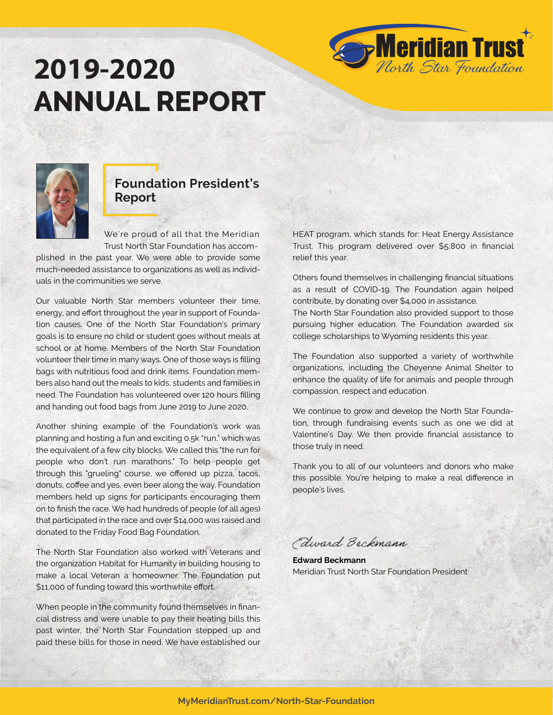# **2019-2020 ANNUAL REPORT**





### **Foundation President's Report**

 We're proud of all that the Meridian Trust North Star Foundation has accom-

plished in the past year. We were able to provide some much-needed assistance to organizations as well as individuals in the communities we serve.

Our valuable North Star members volunteer their time, energy, and effort throughout the year in support of Foundation causes. One of the North Star Foundation's primary goals is to ensure no child or student goes without meals at school or at home. Members of the North Star Foundation volunteer their time in many ways. One of those ways is filling bags with nutritious food and drink items. Foundation members also hand out the meals to kids, students and families in need. The Foundation has volunteered over 120 hours filling and handing out food bags from June 2019 to June 2020.

Another shining example of the Foundation's work was planning and hosting a fun and exciting 0.5k "run," which was the equivalent of a few city blocks. We called this "the run for people who don't run marathons." To help people get through this "grueling" course, we offered up pizza, tacos, donuts, coffee and yes, even beer along the way. Foundation members held up signs for participants encouraging them on to finish the race. We had hundreds of people (of all ages) that participated in the race and over \$14,000 was raised and donated to the Friday Food Bag Foundation.

The North Star Foundation also worked with Veterans and the organization Habitat for Humanity in building housing to make a local Veteran a homeowner. The Foundation put \$11,000 of funding toward this worthwhile effort.

When people in the community found themselves in financial distress and were unable to pay their heating bills this past winter, the North Star Foundation stepped up and paid these bills for those in need. We have established our HEAT program, which stands for: Heat Energy Assistance Trust. This program delivered over \$5,800 in financial relief this year.

Others found themselves in challenging financial situations as a result of COVID-19. The Foundation again helped contribute, by donating over \$4,000 in assistance.

The North Star Foundation also provided support to those pursuing higher education. The Foundation awarded six college scholarships to Wyoming residents this year.

The Foundation also supported a variety of worthwhile organizations, including the Cheyenne Animal Shelter to enhance the quality of life for animals and people through compassion, respect and education.

We continue to grow and develop the North Star Foundation, through fundraising events such as one we did at Valentine's Day. We then provide financial assistance to those truly in need.

Thank you to all of our volunteers and donors who make this possible. You're helping to make a real difference in people's lives.

Edward Beckmann

**Edward Beckmann** Meridian Trust North Star Foundation President